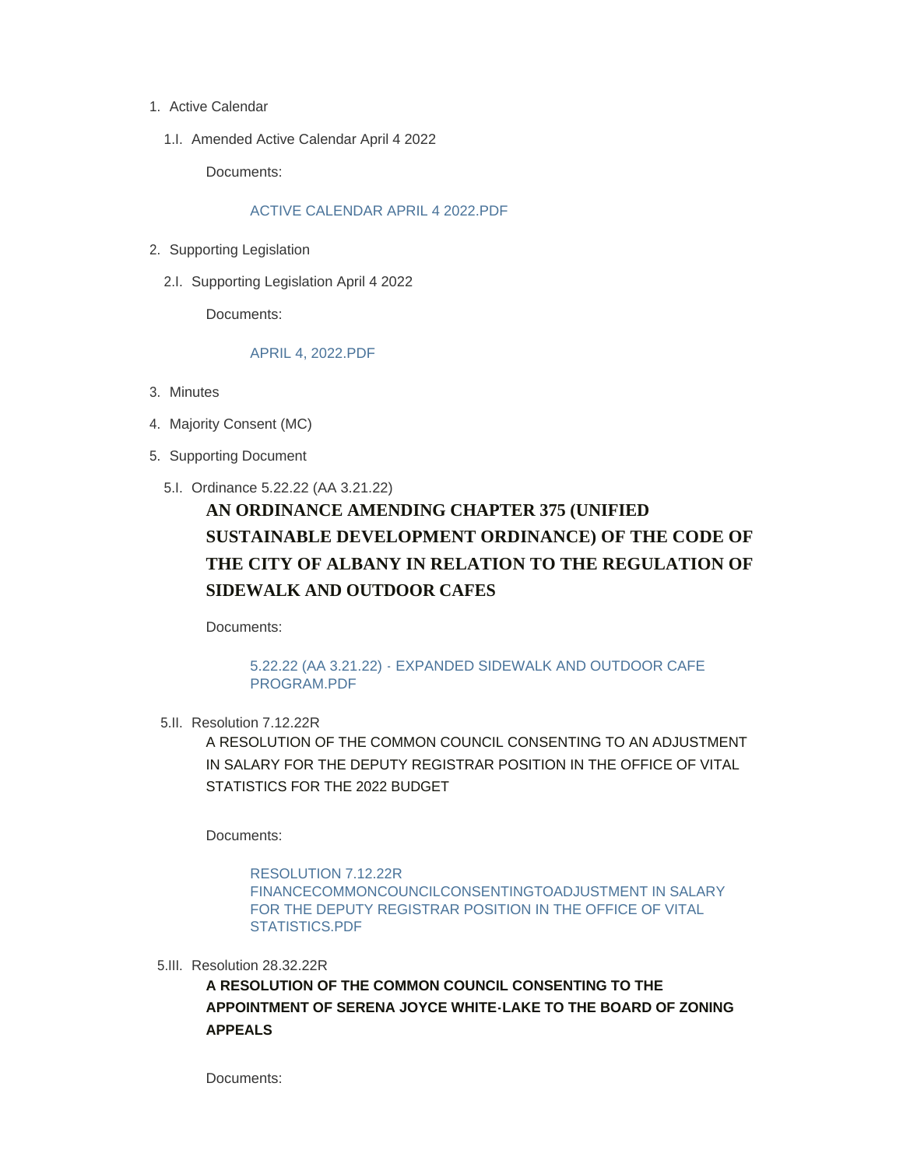- 1. Active Calendar
	- 1.I. Amended Active Calendar April 4 2022

Documents:

### [ACTIVE CALENDAR APRIL 4 2022.PDF](https://www.albanyny.gov/AgendaCenter/ViewFile/Item/1024?fileID=3837)

- 2. Supporting Legislation
	- 2.I. Supporting Legislation April 4 2022

Documents:

#### [APRIL 4, 2022.PDF](https://www.albanyny.gov/AgendaCenter/ViewFile/Item/1005?fileID=3825)

- Minutes 3.
- 4. Majority Consent (MC)
- 5. Supporting Document
	- 5.I. Ordinance 5.22.22 (AA 3.21.22)

# **AN ORDINANCE AMENDING CHAPTER 375 (UNIFIED SUSTAINABLE DEVELOPMENT ORDINANCE) OF THE CODE OF THE CITY OF ALBANY IN RELATION TO THE REGULATION OF SIDEWALK AND OUTDOOR CAFES**

Documents:

# [5.22.22 \(AA 3.21.22\) - EXPANDED SIDEWALK AND OUTDOOR CAFE](https://www.albanyny.gov/AgendaCenter/ViewFile/Item/1016?fileID=3828)  PROGRAM.PDF

5.II. Resolution 7.12.22R

A RESOLUTION OF THE COMMON COUNCIL CONSENTING TO AN ADJUSTMENT IN SALARY FOR THE DEPUTY REGISTRAR POSITION IN THE OFFICE OF VITAL STATISTICS FOR THE 2022 BUDGET

Documents:

RESOLUTION 7.12.22R [FINANCECOMMONCOUNCILCONSENTINGTOADJUSTMENT IN SALARY](https://www.albanyny.gov/AgendaCenter/ViewFile/Item/1017?fileID=3829)  FOR THE DEPUTY REGISTRAR POSITION IN THE OFFICE OF VITAL STATISTICS.PDF

5.III. Resolution 28.32.22R

**A RESOLUTION OF THE COMMON COUNCIL CONSENTING TO THE APPOINTMENT OF SERENA JOYCE WHITE-LAKE TO THE BOARD OF ZONING APPEALS**

Documents: